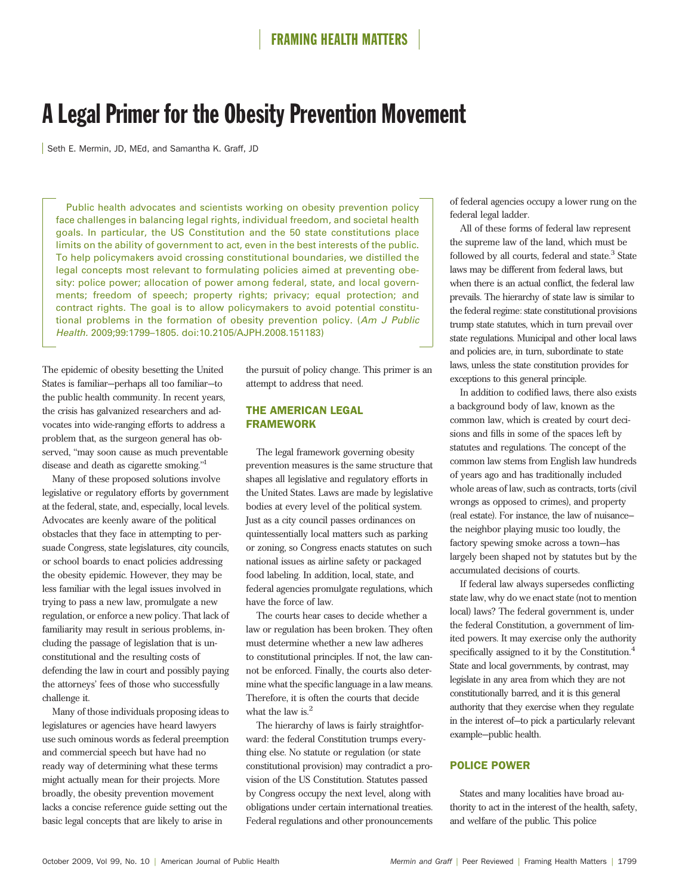# A Legal Primer for the Obesity Prevention Movement

Seth E. Mermin, JD, MEd, and Samantha K. Graff, JD

Public health advocates and scientists working on obesity prevention policy face challenges in balancing legal rights, individual freedom, and societal health goals. In particular, the US Constitution and the 50 state constitutions place limits on the ability of government to act, even in the best interests of the public. To help policymakers avoid crossing constitutional boundaries, we distilled the legal concepts most relevant to formulating policies aimed at preventing obesity: police power; allocation of power among federal, state, and local governments; freedom of speech; property rights; privacy; equal protection; and contract rights. The goal is to allow policymakers to avoid potential constitutional problems in the formation of obesity prevention policy. (Am J Public Health. 2009;99:1799–1805. doi:10.2105/AJPH.2008.151183)

The epidemic of obesity besetting the United States is familiar—perhaps all too familiar—to the public health community. In recent years, the crisis has galvanized researchers and advocates into wide-ranging efforts to address a problem that, as the surgeon general has observed, "may soon cause as much preventable disease and death as cigarette smoking.''1

Many of these proposed solutions involve legislative or regulatory efforts by government at the federal, state, and, especially, local levels. Advocates are keenly aware of the political obstacles that they face in attempting to persuade Congress, state legislatures, city councils, or school boards to enact policies addressing the obesity epidemic. However, they may be less familiar with the legal issues involved in trying to pass a new law, promulgate a new regulation, or enforce a new policy. That lack of familiarity may result in serious problems, including the passage of legislation that is unconstitutional and the resulting costs of defending the law in court and possibly paying the attorneys' fees of those who successfully challenge it.

Many of those individuals proposing ideas to legislatures or agencies have heard lawyers use such ominous words as federal preemption and commercial speech but have had no ready way of determining what these terms might actually mean for their projects. More broadly, the obesity prevention movement lacks a concise reference guide setting out the basic legal concepts that are likely to arise in

the pursuit of policy change. This primer is an attempt to address that need.

### THE AMERICAN LEGAL FRAMEWORK

The legal framework governing obesity prevention measures is the same structure that shapes all legislative and regulatory efforts in the United States. Laws are made by legislative bodies at every level of the political system. Just as a city council passes ordinances on quintessentially local matters such as parking or zoning, so Congress enacts statutes on such national issues as airline safety or packaged food labeling. In addition, local, state, and federal agencies promulgate regulations, which have the force of law.

The courts hear cases to decide whether a law or regulation has been broken. They often must determine whether a new law adheres to constitutional principles. If not, the law cannot be enforced. Finally, the courts also determine what the specific language in a law means. Therefore, it is often the courts that decide what the law is.<sup>2</sup>

The hierarchy of laws is fairly straightforward: the federal Constitution trumps everything else. No statute or regulation (or state constitutional provision) may contradict a provision of the US Constitution. Statutes passed by Congress occupy the next level, along with obligations under certain international treaties. Federal regulations and other pronouncements of federal agencies occupy a lower rung on the federal legal ladder.

All of these forms of federal law represent the supreme law of the land, which must be followed by all courts, federal and state.<sup>3</sup> State laws may be different from federal laws, but when there is an actual conflict, the federal law prevails. The hierarchy of state law is similar to the federal regime: state constitutional provisions trump state statutes, which in turn prevail over state regulations. Municipal and other local laws and policies are, in turn, subordinate to state laws, unless the state constitution provides for exceptions to this general principle.

In addition to codified laws, there also exists a background body of law, known as the common law, which is created by court decisions and fills in some of the spaces left by statutes and regulations. The concept of the common law stems from English law hundreds of years ago and has traditionally included whole areas of law, such as contracts, torts (civil wrongs as opposed to crimes), and property (real estate). For instance, the law of nuisance– the neighbor playing music too loudly, the factory spewing smoke across a town—has largely been shaped not by statutes but by the accumulated decisions of courts.

If federal law always supersedes conflicting state law, why do we enact state (not to mention local) laws? The federal government is, under the federal Constitution, a government of limited powers. It may exercise only the authority specifically assigned to it by the Constitution.<sup>4</sup> State and local governments, by contrast, may legislate in any area from which they are not constitutionally barred, and it is this general authority that they exercise when they regulate in the interest of—to pick a particularly relevant example—public health.

### POLICE POWER

States and many localities have broad authority to act in the interest of the health, safety, and welfare of the public. This police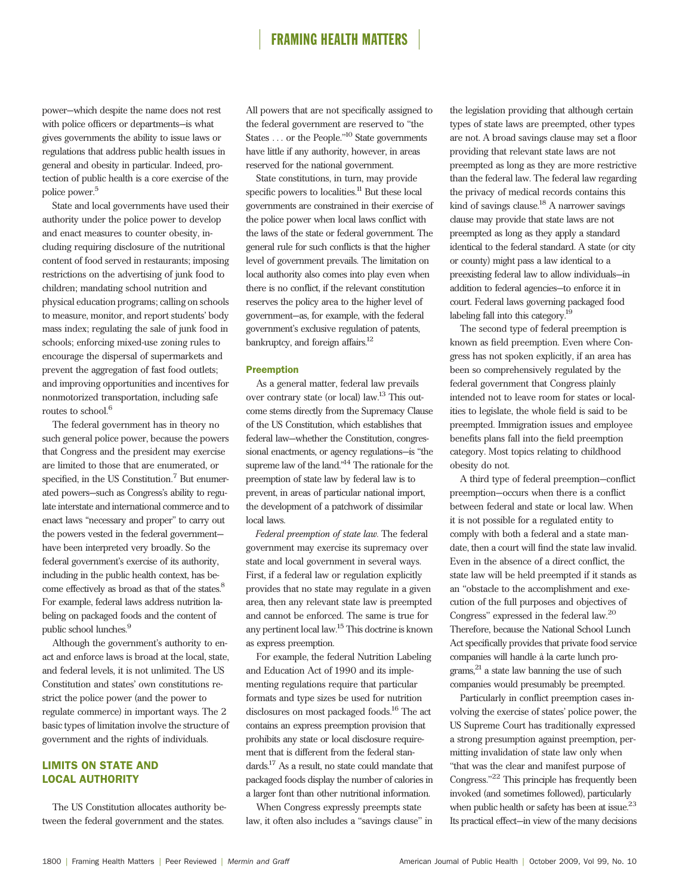power—which despite the name does not rest with police officers or departments—is what gives governments the ability to issue laws or regulations that address public health issues in general and obesity in particular. Indeed, protection of public health is a core exercise of the police power.5

State and local governments have used their authority under the police power to develop and enact measures to counter obesity, including requiring disclosure of the nutritional content of food served in restaurants; imposing restrictions on the advertising of junk food to children; mandating school nutrition and physical education programs; calling on schools to measure, monitor, and report students' body mass index; regulating the sale of junk food in schools; enforcing mixed-use zoning rules to encourage the dispersal of supermarkets and prevent the aggregation of fast food outlets; and improving opportunities and incentives for nonmotorized transportation, including safe routes to school.<sup>6</sup>

The federal government has in theory no such general police power, because the powers that Congress and the president may exercise are limited to those that are enumerated, or specified, in the US Constitution.<sup>7</sup> But enumerated powers—such as Congress's ability to regulate interstate and international commerce and to enact laws ''necessary and proper'' to carry out the powers vested in the federal government have been interpreted very broadly. So the federal government's exercise of its authority, including in the public health context, has become effectively as broad as that of the states.<sup>8</sup> For example, federal laws address nutrition labeling on packaged foods and the content of public school lunches.<sup>9</sup>

Although the government's authority to enact and enforce laws is broad at the local, state, and federal levels, it is not unlimited. The US Constitution and states' own constitutions restrict the police power (and the power to regulate commerce) in important ways. The 2 basic types of limitation involve the structure of government and the rights of individuals.

### LIMITS ON STATE AND LOCAL AUTHORITY

The US Constitution allocates authority between the federal government and the states.

All powers that are not specifically assigned to the federal government are reserved to ''the States . . . or the People.''10 State governments have little if any authority, however, in areas reserved for the national government.

State constitutions, in turn, may provide specific powers to localities.<sup>11</sup> But these local governments are constrained in their exercise of the police power when local laws conflict with the laws of the state or federal government. The general rule for such conflicts is that the higher level of government prevails. The limitation on local authority also comes into play even when there is no conflict, if the relevant constitution reserves the policy area to the higher level of government—as, for example, with the federal government's exclusive regulation of patents, bankruptcy, and foreign affairs.<sup>12</sup>

#### Preemption

As a general matter, federal law prevails over contrary state (or local) law.13 This outcome stems directly from the Supremacy Clause of the US Constitution, which establishes that federal law—whether the Constitution, congressional enactments, or agency regulations—is ''the supreme law of the land."<sup>14</sup> The rationale for the preemption of state law by federal law is to prevent, in areas of particular national import, the development of a patchwork of dissimilar local laws.

Federal preemption of state law. The federal government may exercise its supremacy over state and local government in several ways. First, if a federal law or regulation explicitly provides that no state may regulate in a given area, then any relevant state law is preempted and cannot be enforced. The same is true for any pertinent local law.15 This doctrine is known as express preemption.

For example, the federal Nutrition Labeling and Education Act of 1990 and its implementing regulations require that particular formats and type sizes be used for nutrition disclosures on most packaged foods.16 The act contains an express preemption provision that prohibits any state or local disclosure requirement that is different from the federal standards.17 As a result, no state could mandate that packaged foods display the number of calories in a larger font than other nutritional information.

When Congress expressly preempts state law, it often also includes a ''savings clause'' in the legislation providing that although certain types of state laws are preempted, other types are not. A broad savings clause may set a floor providing that relevant state laws are not preempted as long as they are more restrictive than the federal law. The federal law regarding the privacy of medical records contains this kind of savings clause.<sup>18</sup> A narrower savings clause may provide that state laws are not preempted as long as they apply a standard identical to the federal standard. A state (or city or county) might pass a law identical to a preexisting federal law to allow individuals—in addition to federal agencies—to enforce it in court. Federal laws governing packaged food labeling fall into this category.19

The second type of federal preemption is known as field preemption. Even where Congress has not spoken explicitly, if an area has been so comprehensively regulated by the federal government that Congress plainly intended not to leave room for states or localities to legislate, the whole field is said to be preempted. Immigration issues and employee benefits plans fall into the field preemption category. Most topics relating to childhood obesity do not.

A third type of federal preemption—conflict preemption—occurs when there is a conflict between federal and state or local law. When it is not possible for a regulated entity to comply with both a federal and a state mandate, then a court will find the state law invalid. Even in the absence of a direct conflict, the state law will be held preempted if it stands as an ''obstacle to the accomplishment and execution of the full purposes and objectives of Congress'' expressed in the federal law.<sup>20</sup> Therefore, because the National School Lunch Act specifically provides that private food service companies will handle à la carte lunch pro $grams<sub>1</sub><sup>21</sup>$  a state law banning the use of such companies would presumably be preempted.

Particularly in conflict preemption cases involving the exercise of states' police power, the US Supreme Court has traditionally expressed a strong presumption against preemption, permitting invalidation of state law only when ''that was the clear and manifest purpose of Congress."<sup>22</sup> This principle has frequently been invoked (and sometimes followed), particularly when public health or safety has been at issue.<sup>23</sup> Its practical effect—in view of the many decisions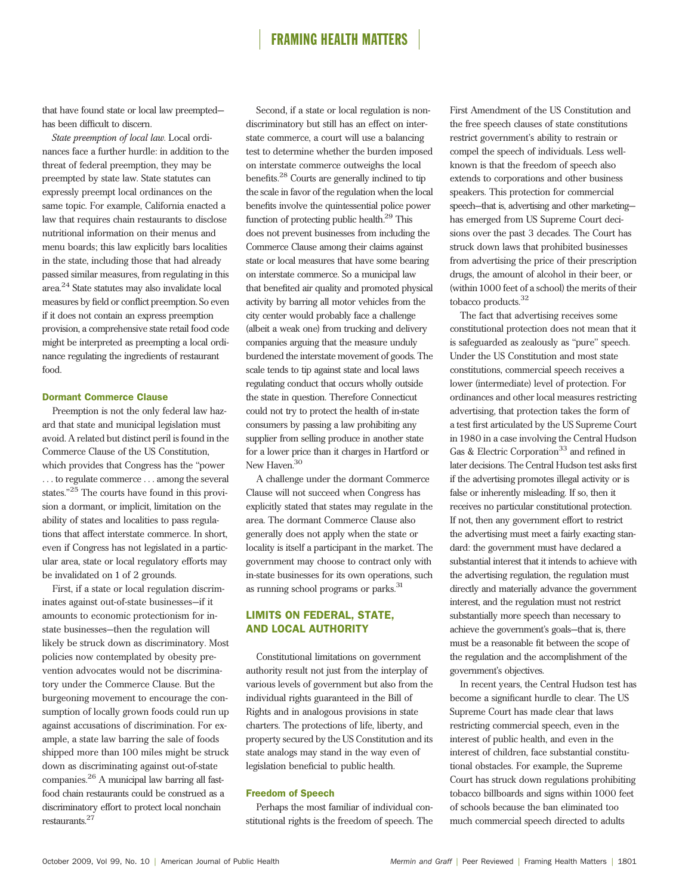that have found state or local law preempted has been difficult to discern.

State preemption of local law. Local ordinances face a further hurdle: in addition to the threat of federal preemption, they may be preempted by state law. State statutes can expressly preempt local ordinances on the same topic. For example, California enacted a law that requires chain restaurants to disclose nutritional information on their menus and menu boards; this law explicitly bars localities in the state, including those that had already passed similar measures, from regulating in this area.<sup>24</sup> State statutes may also invalidate local measures by field or conflict preemption. So even if it does not contain an express preemption provision, a comprehensive state retail food code might be interpreted as preempting a local ordinance regulating the ingredients of restaurant food.

#### Dormant Commerce Clause

Preemption is not the only federal law hazard that state and municipal legislation must avoid. A related but distinct peril is found in the Commerce Clause of the US Constitution, which provides that Congress has the ''power . . . to regulate commerce . . . among the several states."<sup>25</sup> The courts have found in this provision a dormant, or implicit, limitation on the ability of states and localities to pass regulations that affect interstate commerce. In short, even if Congress has not legislated in a particular area, state or local regulatory efforts may be invalidated on 1 of 2 grounds.

First, if a state or local regulation discriminates against out-of-state businesses—if it amounts to economic protectionism for instate businesses—then the regulation will likely be struck down as discriminatory. Most policies now contemplated by obesity prevention advocates would not be discriminatory under the Commerce Clause. But the burgeoning movement to encourage the consumption of locally grown foods could run up against accusations of discrimination. For example, a state law barring the sale of foods shipped more than 100 miles might be struck down as discriminating against out-of-state companies.<sup>26</sup> A municipal law barring all fastfood chain restaurants could be construed as a discriminatory effort to protect local nonchain restaurants.27

Second, if a state or local regulation is nondiscriminatory but still has an effect on interstate commerce, a court will use a balancing test to determine whether the burden imposed on interstate commerce outweighs the local benefits.<sup>28</sup> Courts are generally inclined to tip the scale in favor of the regulation when the local benefits involve the quintessential police power function of protecting public health.<sup>29</sup> This does not prevent businesses from including the Commerce Clause among their claims against state or local measures that have some bearing on interstate commerce. So a municipal law that benefited air quality and promoted physical activity by barring all motor vehicles from the city center would probably face a challenge (albeit a weak one) from trucking and delivery companies arguing that the measure unduly burdened the interstate movement of goods. The scale tends to tip against state and local laws regulating conduct that occurs wholly outside the state in question. Therefore Connecticut could not try to protect the health of in-state consumers by passing a law prohibiting any supplier from selling produce in another state for a lower price than it charges in Hartford or New Haven.<sup>30</sup>

A challenge under the dormant Commerce Clause will not succeed when Congress has explicitly stated that states may regulate in the area. The dormant Commerce Clause also generally does not apply when the state or locality is itself a participant in the market. The government may choose to contract only with in-state businesses for its own operations, such as running school programs or parks.<sup>31</sup>

### LIMITS ON FEDERAL, STATE, AND LOCAL AUTHORITY

Constitutional limitations on government authority result not just from the interplay of various levels of government but also from the individual rights guaranteed in the Bill of Rights and in analogous provisions in state charters. The protections of life, liberty, and property secured by the US Constitution and its state analogs may stand in the way even of legislation beneficial to public health.

#### Freedom of Speech

Perhaps the most familiar of individual constitutional rights is the freedom of speech. The First Amendment of the US Constitution and the free speech clauses of state constitutions restrict government's ability to restrain or compel the speech of individuals. Less wellknown is that the freedom of speech also extends to corporations and other business speakers. This protection for commercial speech—that is, advertising and other marketing has emerged from US Supreme Court decisions over the past 3 decades. The Court has struck down laws that prohibited businesses from advertising the price of their prescription drugs, the amount of alcohol in their beer, or (within 1000 feet of a school) the merits of their tobacco products.<sup>32</sup>

The fact that advertising receives some constitutional protection does not mean that it is safeguarded as zealously as ''pure'' speech. Under the US Constitution and most state constitutions, commercial speech receives a lower (intermediate) level of protection. For ordinances and other local measures restricting advertising, that protection takes the form of a test first articulated by the US Supreme Court in 1980 in a case involving the Central Hudson Gas & Electric Corporation $\real^{33}$  and refined in later decisions. The Central Hudson test asks first if the advertising promotes illegal activity or is false or inherently misleading. If so, then it receives no particular constitutional protection. If not, then any government effort to restrict the advertising must meet a fairly exacting standard: the government must have declared a substantial interest that it intends to achieve with the advertising regulation, the regulation must directly and materially advance the government interest, and the regulation must not restrict substantially more speech than necessary to achieve the government's goals—that is, there must be a reasonable fit between the scope of the regulation and the accomplishment of the government's objectives.

In recent years, the Central Hudson test has become a significant hurdle to clear. The US Supreme Court has made clear that laws restricting commercial speech, even in the interest of public health, and even in the interest of children, face substantial constitutional obstacles. For example, the Supreme Court has struck down regulations prohibiting tobacco billboards and signs within 1000 feet of schools because the ban eliminated too much commercial speech directed to adults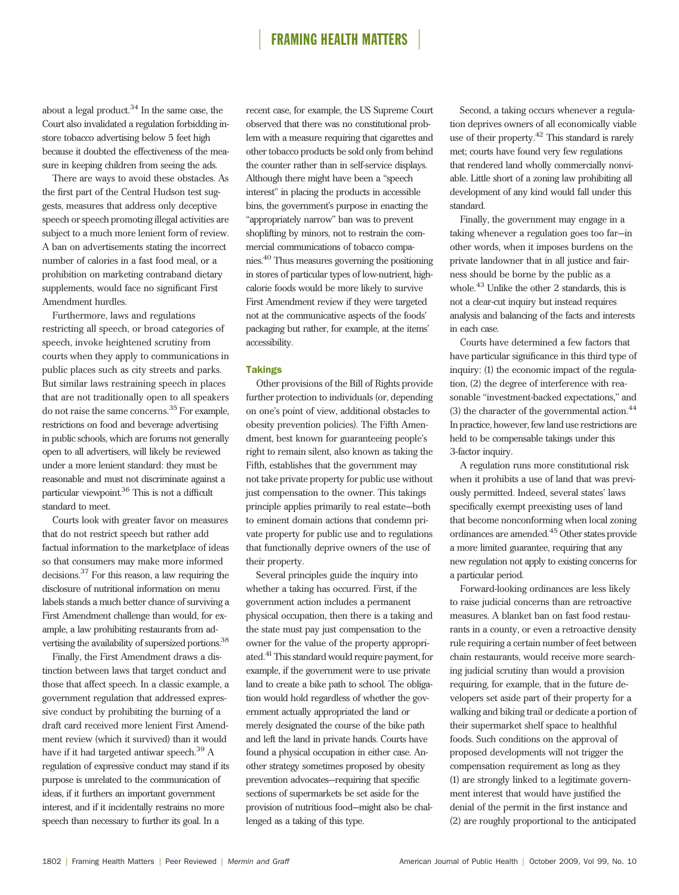about a legal product.<sup>34</sup> In the same case, the Court also invalidated a regulation forbidding instore tobacco advertising below 5 feet high because it doubted the effectiveness of the measure in keeping children from seeing the ads.

There are ways to avoid these obstacles. As the first part of the Central Hudson test suggests, measures that address only deceptive speech or speech promoting illegal activities are subject to a much more lenient form of review. A ban on advertisements stating the incorrect number of calories in a fast food meal, or a prohibition on marketing contraband dietary supplements, would face no significant First Amendment hurdles.

Furthermore, laws and regulations restricting all speech, or broad categories of speech, invoke heightened scrutiny from courts when they apply to communications in public places such as city streets and parks. But similar laws restraining speech in places that are not traditionally open to all speakers do not raise the same concerns.<sup>35</sup> For example, restrictions on food and beverage advertising in public schools, which are forums not generally open to all advertisers, will likely be reviewed under a more lenient standard: they must be reasonable and must not discriminate against a particular viewpoint.36 This is not a difficult standard to meet.

Courts look with greater favor on measures that do not restrict speech but rather add factual information to the marketplace of ideas so that consumers may make more informed decisions.<sup>37</sup> For this reason, a law requiring the disclosure of nutritional information on menu labels stands a much better chance of surviving a First Amendment challenge than would, for example, a law prohibiting restaurants from advertising the availability of supersized portions.<sup>38</sup>

Finally, the First Amendment draws a distinction between laws that target conduct and those that affect speech. In a classic example, a government regulation that addressed expressive conduct by prohibiting the burning of a draft card received more lenient First Amendment review (which it survived) than it would have if it had targeted antiwar speech.<sup>39</sup> A regulation of expressive conduct may stand if its purpose is unrelated to the communication of ideas, if it furthers an important government interest, and if it incidentally restrains no more speech than necessary to further its goal. In a

recent case, for example, the US Supreme Court observed that there was no constitutional problem with a measure requiring that cigarettes and other tobacco products be sold only from behind the counter rather than in self-service displays. Although there might have been a ''speech interest'' in placing the products in accessible bins, the government's purpose in enacting the ''appropriately narrow'' ban was to prevent shoplifting by minors, not to restrain the commercial communications of tobacco companies.40 Thus measures governing the positioning in stores of particular types of low-nutrient, highcalorie foods would be more likely to survive First Amendment review if they were targeted not at the communicative aspects of the foods' packaging but rather, for example, at the items' accessibility.

#### **Takings**

Other provisions of the Bill of Rights provide further protection to individuals (or, depending on one's point of view, additional obstacles to obesity prevention policies). The Fifth Amendment, best known for guaranteeing people's right to remain silent, also known as taking the Fifth, establishes that the government may not take private property for public use without just compensation to the owner. This takings principle applies primarily to real estate—both to eminent domain actions that condemn private property for public use and to regulations that functionally deprive owners of the use of their property.

Several principles guide the inquiry into whether a taking has occurred. First, if the government action includes a permanent physical occupation, then there is a taking and the state must pay just compensation to the owner for the value of the property appropriated.<sup>41</sup> This standard would require payment, for example, if the government were to use private land to create a bike path to school. The obligation would hold regardless of whether the government actually appropriated the land or merely designated the course of the bike path and left the land in private hands. Courts have found a physical occupation in either case. Another strategy sometimes proposed by obesity prevention advocates—requiring that specific sections of supermarkets be set aside for the provision of nutritious food—might also be challenged as a taking of this type.

Second, a taking occurs whenever a regulation deprives owners of all economically viable use of their property.<sup>42</sup> This standard is rarely met; courts have found very few regulations that rendered land wholly commercially nonviable. Little short of a zoning law prohibiting all development of any kind would fall under this standard.

Finally, the government may engage in a taking whenever a regulation goes too far—in other words, when it imposes burdens on the private landowner that in all justice and fairness should be borne by the public as a whole.<sup>43</sup> Unlike the other 2 standards, this is not a clear-cut inquiry but instead requires analysis and balancing of the facts and interests in each case.

Courts have determined a few factors that have particular significance in this third type of inquiry: (1) the economic impact of the regulation, (2) the degree of interference with reasonable ''investment-backed expectations,'' and  $(3)$  the character of the governmental action.<sup>44</sup> In practice, however, few land use restrictions are held to be compensable takings under this 3-factor inquiry.

A regulation runs more constitutional risk when it prohibits a use of land that was previously permitted. Indeed, several states' laws specifically exempt preexisting uses of land that become nonconforming when local zoning ordinances are amended.<sup>45</sup> Other states provide a more limited guarantee, requiring that any new regulation not apply to existing concerns for a particular period.

Forward-looking ordinances are less likely to raise judicial concerns than are retroactive measures. A blanket ban on fast food restaurants in a county, or even a retroactive density rule requiring a certain number of feet between chain restaurants, would receive more searching judicial scrutiny than would a provision requiring, for example, that in the future developers set aside part of their property for a walking and biking trail or dedicate a portion of their supermarket shelf space to healthful foods. Such conditions on the approval of proposed developments will not trigger the compensation requirement as long as they (1) are strongly linked to a legitimate government interest that would have justified the denial of the permit in the first instance and (2) are roughly proportional to the anticipated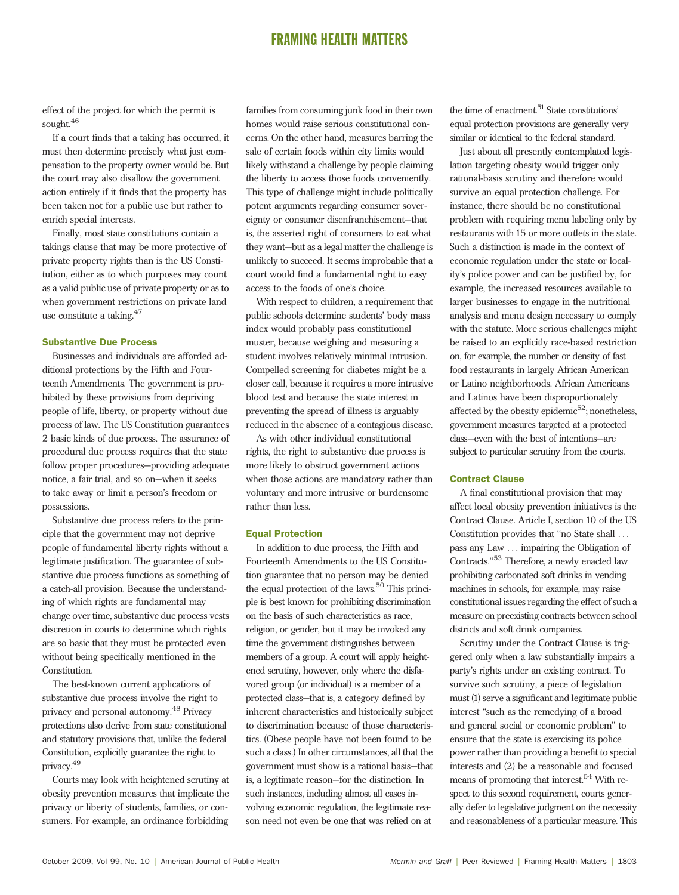effect of the project for which the permit is sought.<sup>46</sup>

If a court finds that a taking has occurred, it must then determine precisely what just compensation to the property owner would be. But the court may also disallow the government action entirely if it finds that the property has been taken not for a public use but rather to enrich special interests.

Finally, most state constitutions contain a takings clause that may be more protective of private property rights than is the US Constitution, either as to which purposes may count as a valid public use of private property or as to when government restrictions on private land use constitute a taking.<sup>47</sup>

#### Substantive Due Process

Businesses and individuals are afforded additional protections by the Fifth and Fourteenth Amendments. The government is prohibited by these provisions from depriving people of life, liberty, or property without due process of law. The US Constitution guarantees 2 basic kinds of due process. The assurance of procedural due process requires that the state follow proper procedures—providing adequate notice, a fair trial, and so on—when it seeks to take away or limit a person's freedom or possessions.

Substantive due process refers to the principle that the government may not deprive people of fundamental liberty rights without a legitimate justification. The guarantee of substantive due process functions as something of a catch-all provision. Because the understanding of which rights are fundamental may change over time, substantive due process vests discretion in courts to determine which rights are so basic that they must be protected even without being specifically mentioned in the Constitution.

The best-known current applications of substantive due process involve the right to privacy and personal autonomy.<sup>48</sup> Privacy protections also derive from state constitutional and statutory provisions that, unlike the federal Constitution, explicitly guarantee the right to privacy.49

Courts may look with heightened scrutiny at obesity prevention measures that implicate the privacy or liberty of students, families, or consumers. For example, an ordinance forbidding

families from consuming junk food in their own homes would raise serious constitutional concerns. On the other hand, measures barring the sale of certain foods within city limits would likely withstand a challenge by people claiming the liberty to access those foods conveniently. This type of challenge might include politically potent arguments regarding consumer sovereignty or consumer disenfranchisement—that is, the asserted right of consumers to eat what they want—but as a legal matter the challenge is unlikely to succeed. It seems improbable that a court would find a fundamental right to easy access to the foods of one's choice.

With respect to children, a requirement that public schools determine students' body mass index would probably pass constitutional muster, because weighing and measuring a student involves relatively minimal intrusion. Compelled screening for diabetes might be a closer call, because it requires a more intrusive blood test and because the state interest in preventing the spread of illness is arguably reduced in the absence of a contagious disease.

As with other individual constitutional rights, the right to substantive due process is more likely to obstruct government actions when those actions are mandatory rather than voluntary and more intrusive or burdensome rather than less.

#### Equal Protection

In addition to due process, the Fifth and Fourteenth Amendments to the US Constitution guarantee that no person may be denied the equal protection of the laws.<sup>50</sup> This principle is best known for prohibiting discrimination on the basis of such characteristics as race, religion, or gender, but it may be invoked any time the government distinguishes between members of a group. A court will apply heightened scrutiny, however, only where the disfavored group (or individual) is a member of a protected class—that is, a category defined by inherent characteristics and historically subject to discrimination because of those characteristics. (Obese people have not been found to be such a class.) In other circumstances, all that the government must show is a rational basis—that is, a legitimate reason—for the distinction. In such instances, including almost all cases involving economic regulation, the legitimate reason need not even be one that was relied on at

the time of enactment.<sup>51</sup> State constitutions' equal protection provisions are generally very similar or identical to the federal standard.

Just about all presently contemplated legislation targeting obesity would trigger only rational-basis scrutiny and therefore would survive an equal protection challenge. For instance, there should be no constitutional problem with requiring menu labeling only by restaurants with 15 or more outlets in the state. Such a distinction is made in the context of economic regulation under the state or locality's police power and can be justified by, for example, the increased resources available to larger businesses to engage in the nutritional analysis and menu design necessary to comply with the statute. More serious challenges might be raised to an explicitly race-based restriction on, for example, the number or density of fast food restaurants in largely African American or Latino neighborhoods. African Americans and Latinos have been disproportionately affected by the obesity epidemic $52$ ; nonetheless, government measures targeted at a protected class—even with the best of intentions—are subject to particular scrutiny from the courts.

#### Contract Clause

A final constitutional provision that may affect local obesity prevention initiatives is the Contract Clause. Article I, section 10 of the US Constitution provides that ''no State shall . . . pass any Law . . . impairing the Obligation of Contracts."<sup>53</sup> Therefore, a newly enacted law prohibiting carbonated soft drinks in vending machines in schools, for example, may raise constitutional issues regarding the effect of such a measure on preexisting contracts between school districts and soft drink companies.

Scrutiny under the Contract Clause is triggered only when a law substantially impairs a party's rights under an existing contract. To survive such scrutiny, a piece of legislation must (1) serve a significant and legitimate public interest ''such as the remedying of a broad and general social or economic problem'' to ensure that the state is exercising its police power rather than providing a benefit to special interests and (2) be a reasonable and focused means of promoting that interest.<sup>54</sup> With respect to this second requirement, courts generally defer to legislative judgment on the necessity and reasonableness of a particular measure. This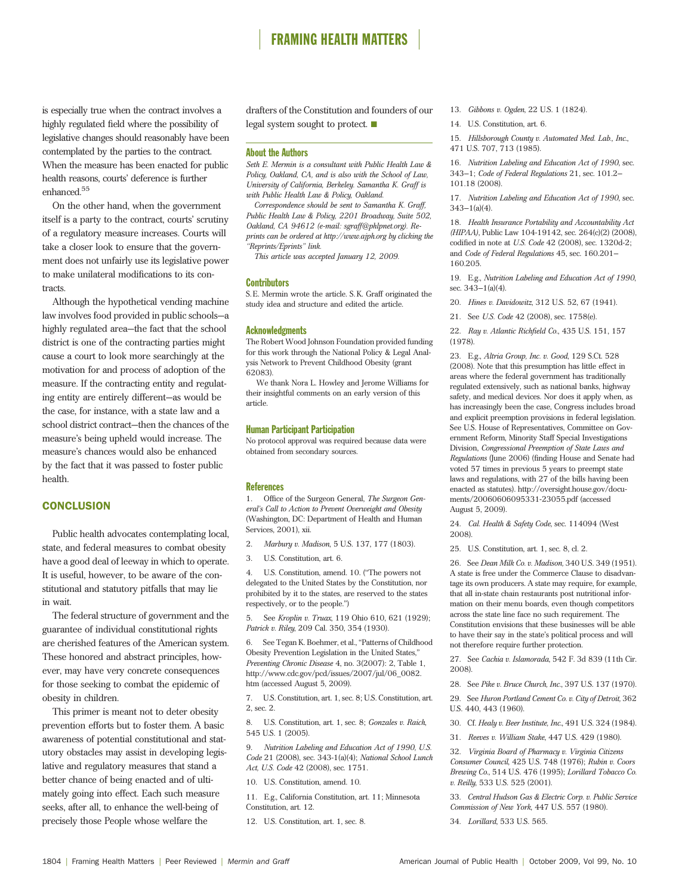is especially true when the contract involves a highly regulated field where the possibility of legislative changes should reasonably have been contemplated by the parties to the contract. When the measure has been enacted for public health reasons, courts' deference is further enhanced.55

On the other hand, when the government itself is a party to the contract, courts' scrutiny of a regulatory measure increases. Courts will take a closer look to ensure that the government does not unfairly use its legislative power to make unilateral modifications to its contracts.

Although the hypothetical vending machine law involves food provided in public schools—a highly regulated area—the fact that the school district is one of the contracting parties might cause a court to look more searchingly at the motivation for and process of adoption of the measure. If the contracting entity and regulating entity are entirely different—as would be the case, for instance, with a state law and a school district contract—then the chances of the measure's being upheld would increase. The measure's chances would also be enhanced by the fact that it was passed to foster public health.

#### **CONCLUSION**

Public health advocates contemplating local, state, and federal measures to combat obesity have a good deal of leeway in which to operate. It is useful, however, to be aware of the constitutional and statutory pitfalls that may lie in wait.

The federal structure of government and the guarantee of individual constitutional rights are cherished features of the American system. These honored and abstract principles, however, may have very concrete consequences for those seeking to combat the epidemic of obesity in children.

This primer is meant not to deter obesity prevention efforts but to foster them. A basic awareness of potential constitutional and statutory obstacles may assist in developing legislative and regulatory measures that stand a better chance of being enacted and of ultimately going into effect. Each such measure seeks, after all, to enhance the well-being of precisely those People whose welfare the

drafters of the Constitution and founders of our legal system sought to protect.  $\blacksquare$ 

#### About the Authors

Seth E. Mermin is a consultant with Public Health Law & Policy, Oakland, CA, and is also with the School of Law, University of California, Berkeley. Samantha K. Graff is with Public Health Law & Policy, Oakland.

Correspondence should be sent to Samantha K. Graff, Public Health Law & Policy, 2201 Broadway, Suite 502, Oakland, CA 94612 (e-mail: sgraff@phlpnet.org). Reprints can be ordered at http://www.ajph.org by clicking the ''Reprints/Eprints'' link.

This article was accepted January 12, 2009.

#### **Contributors**

S. E. Mermin wrote the article. S. K. Graff originated the study idea and structure and edited the article.

#### Acknowledgments

The Robert Wood Johnson Foundation provided funding for this work through the National Policy & Legal Analysis Network to Prevent Childhood Obesity (grant 62083).

We thank Nora L. Howley and Jerome Williams for their insightful comments on an early version of this article.

#### Human Participant Participation

No protocol approval was required because data were obtained from secondary sources.

#### **References**

1. Office of the Surgeon General, The Surgeon General's Call to Action to Prevent Overweight and Obesity (Washington, DC: Department of Health and Human Services, 2001), xii.

2. Marbury v. Madison, 5 U.S. 137, 177 (1803).

3. U.S. Constitution, art. 6.

4. U.S. Constitution, amend. 10. (''The powers not delegated to the United States by the Constitution, nor prohibited by it to the states, are reserved to the states respectively, or to the people.'')

5. See Kroplin v. Truax, 119 Ohio 610, 621 (1929); Patrick v. Riley, 209 Cal. 350, 354 (1930).

6. See Tegan K. Boehmer, et al., ''Patterns of Childhood Obesity Prevention Legislation in the United States,'' Preventing Chronic Disease 4, no. 3(2007): 2, Table 1, http://www.cdc.gov/pcd/issues/2007/jul/06\_0082. htm (accessed August 5, 2009).

7. U.S. Constitution, art. 1, sec. 8; U.S. Constitution, art. 2, sec. 2.

8. U.S. Constitution, art. 1, sec. 8; Gonzales v. Raich, 545 U.S. 1 (2005).

9. Nutrition Labeling and Education Act of 1990, U.S. Code 21 (2008), sec. 343-1(a)(4); National School Lunch Act, U.S. Code 42 (2008), sec. 1751.

10. U.S. Constitution, amend. 10.

11. E.g., California Constitution, art. 11; Minnesota Constitution, art. 12.

12. U.S. Constitution, art. 1, sec. 8.

- 13. Gibbons v. Ogden, 22 U.S. 1 (1824).
- 14. U.S. Constitution, art. 6.

15. Hillsborough County v. Automated Med. Lab., Inc., 471 U.S. 707, 713 (1985).

16. Nutrition Labeling and Education Act of 1990, sec. 343–1; Code of Federal Regulations 21, sec. 101.2– 101.18 (2008).

17. Nutrition Labeling and Education Act of 1990, sec.  $343-1(a)(4)$ .

18. Health Insurance Portability and Accountability Act (HIPAA), Public Law 104-19142, sec. 264(c)(2) (2008), codified in note at U.S. Code 42 (2008), sec. 1320d-2; and Code of Federal Regulations 45, sec. 160.201– 160.205.

19. E.g., Nutrition Labeling and Education Act of 1990, sec. 343-1(a)(4).

20. Hines v. Davidowitz, 312 U.S. 52, 67 (1941).

21. See U.S. Code 42 (2008), sec. 1758(e).

22. Ray v. Atlantic Richfield Co., 435 U.S. 151, 157 (1978).

23. E.g., Altria Group, Inc. v. Good, 129 S.Ct. 528 (2008). Note that this presumption has little effect in areas where the federal government has traditionally regulated extensively, such as national banks, highway safety, and medical devices. Nor does it apply when, as has increasingly been the case, Congress includes broad and explicit preemption provisions in federal legislation. See U.S. House of Representatives, Committee on Government Reform, Minority Staff Special Investigations Division, Congressional Preemption of State Laws and Regulations (June 2006) (finding House and Senate had voted 57 times in previous 5 years to preempt state laws and regulations, with 27 of the bills having been enacted as statutes). http://oversight.house.gov/documents/20060606095331-23055.pdf (accessed August 5, 2009).

24. Cal. Health & Safety Code, sec. 114094 (West 2008).

25. U.S. Constitution, art. 1, sec. 8, cl. 2.

26. See Dean Milk Co. v. Madison, 340 U.S. 349 (1951). A state is free under the Commerce Clause to disadvantage its own producers. A state may require, for example, that all in-state chain restaurants post nutritional information on their menu boards, even though competitors across the state line face no such requirement. The Constitution envisions that these businesses will be able to have their say in the state's political process and will not therefore require further protection.

27. See Cachia v. Islamorada, 542 F. 3d 839 (11th Cir. 2008).

28. See Pike v. Bruce Church, Inc., 397 U.S. 137 (1970).

29. See Huron Portland Cement Co. v. City of Detroit, 362 U.S. 440, 443 (1960).

30. Cf. Healy v. Beer Institute, Inc., 491 U.S. 324 (1984).

31. Reeves v. William Stake, 447 U.S. 429 (1980).

32. Virginia Board of Pharmacy v. Virginia Citizens Consumer Council, 425 U.S. 748 (1976); Rubin v. Coors Brewing Co., 514 U.S. 476 (1995); Lorillard Tobacco Co. v. Reilly, 533 U.S. 525 (2001).

33. Central Hudson Gas & Electric Corp. v. Public Service Commission of New York, 447 U.S. 557 (1980).

34. Lorillard, 533 U.S. 565.